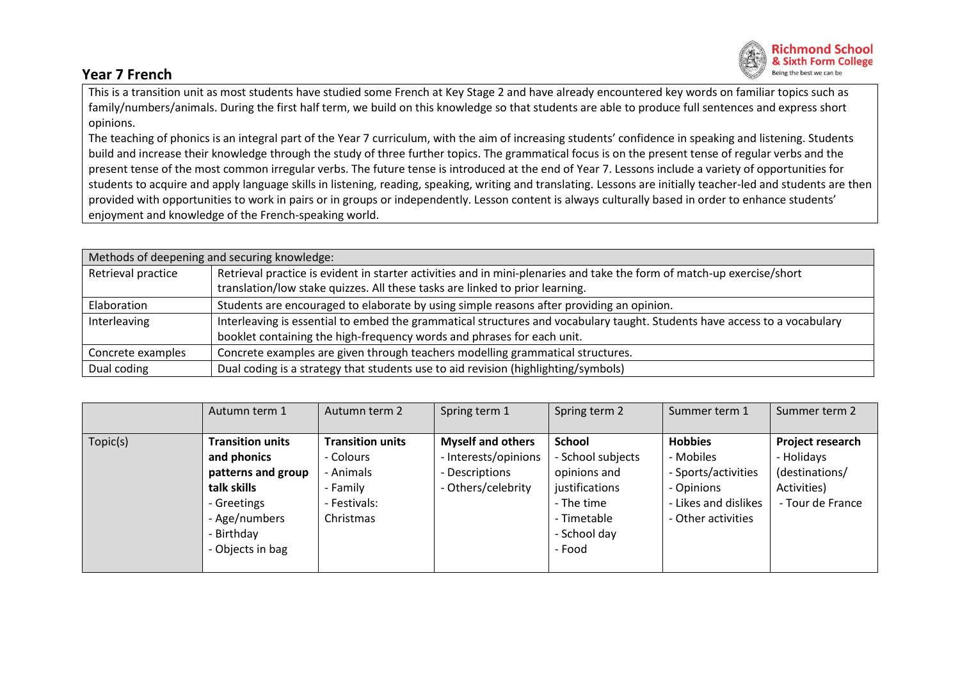## **Year 7 French**



This is a transition unit as most students have studied some French at Key Stage 2 and have already encountered key words on familiar topics such as family/numbers/animals. During the first half term, we build on this knowledge so that students are able to produce full sentences and express short opinions.

The teaching of phonics is an integral part of the Year 7 curriculum, with the aim of increasing students' confidence in speaking and listening. Students build and increase their knowledge through the study of three further topics. The grammatical focus is on the present tense of regular verbs and the present tense of the most common irregular verbs. The future tense is introduced at the end of Year 7. Lessons include a variety of opportunities for students to acquire and apply language skills in listening, reading, speaking, writing and translating. Lessons are initially teacher-led and students are then provided with opportunities to work in pairs or in groups or independently. Lesson content is always culturally based in order to enhance students' enjoyment and knowledge of the French-speaking world.

| Methods of deepening and securing knowledge: |                                                                                                                           |  |  |  |  |
|----------------------------------------------|---------------------------------------------------------------------------------------------------------------------------|--|--|--|--|
| Retrieval practice                           | Retrieval practice is evident in starter activities and in mini-plenaries and take the form of match-up exercise/short    |  |  |  |  |
|                                              | translation/low stake quizzes. All these tasks are linked to prior learning.                                              |  |  |  |  |
| Elaboration                                  | Students are encouraged to elaborate by using simple reasons after providing an opinion.                                  |  |  |  |  |
| Interleaving                                 | Interleaving is essential to embed the grammatical structures and vocabulary taught. Students have access to a vocabulary |  |  |  |  |
|                                              | booklet containing the high-frequency words and phrases for each unit.                                                    |  |  |  |  |
| Concrete examples                            | Concrete examples are given through teachers modelling grammatical structures.                                            |  |  |  |  |
| Dual coding                                  | Dual coding is a strategy that students use to aid revision (highlighting/symbols)                                        |  |  |  |  |

|          | Autumn term 1           | Autumn term 2           | Spring term 1            | Spring term 2     | Summer term 1        | Summer term 2    |
|----------|-------------------------|-------------------------|--------------------------|-------------------|----------------------|------------------|
|          |                         |                         |                          |                   |                      |                  |
| Topic(s) | <b>Transition units</b> | <b>Transition units</b> | <b>Myself and others</b> | <b>School</b>     | <b>Hobbies</b>       | Project research |
|          | and phonics             | - Colours               | - Interests/opinions     | - School subjects | - Mobiles            | - Holidays       |
|          | patterns and group      | - Animals               | - Descriptions           | opinions and      | - Sports/activities  | (destinations/   |
|          | talk skills             | - Family                | - Others/celebrity       | justifications    | - Opinions           | Activities)      |
|          | - Greetings             | - Festivals:            |                          | - The time        | - Likes and dislikes | - Tour de France |
|          | - Age/numbers           | Christmas               |                          | - Timetable       | - Other activities   |                  |
|          | - Birthday              |                         |                          | - School day      |                      |                  |
|          | - Objects in bag        |                         |                          | - Food            |                      |                  |
|          |                         |                         |                          |                   |                      |                  |